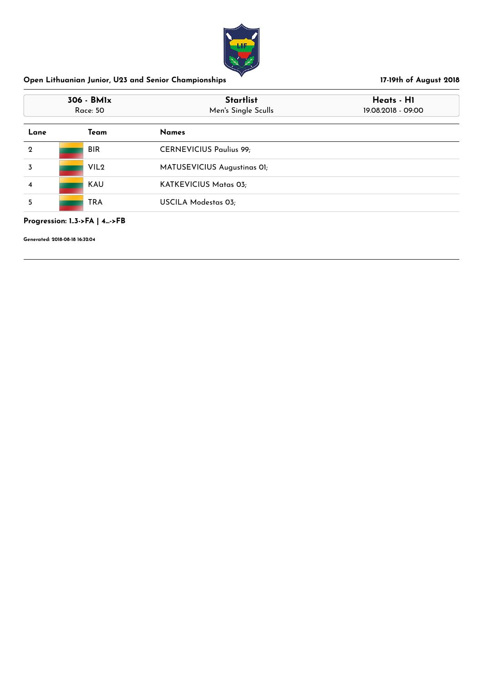

|             | 306 - BMIx<br>Race: 50 | <b>Startlist</b><br>Men's Single Sculls | Heats - H1<br>19.08.2018 - 09:00 |  |
|-------------|------------------------|-----------------------------------------|----------------------------------|--|
| Lane        | Team                   | <b>Names</b>                            |                                  |  |
| $\mathbf 2$ | <b>BIR</b>             | <b>CERNEVICIUS Paulius 99;</b>          |                                  |  |
| 3           | VIL <sub>2</sub>       | MATUSEVICIUS Augustinas 01;             |                                  |  |
| 4           | <b>KAU</b>             | KATKEVICIUS Matas 03:                   |                                  |  |
| 5           | <b>TRA</b>             | USCILA Modestas 03;                     |                                  |  |

## **Progression: 1..3->FA | 4...->FB**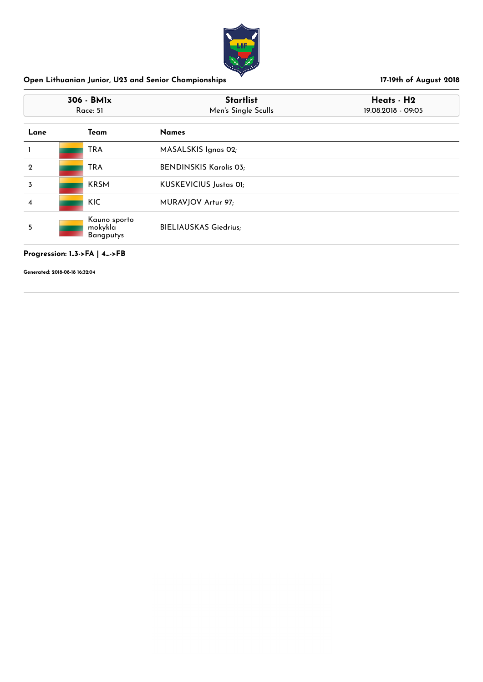

| 306 - BMIx<br>Race: 51 |  |                                             | <b>Startlist</b><br>Men's Single Sculls | Heats - H2<br>19.08.2018 - 09:05 |
|------------------------|--|---------------------------------------------|-----------------------------------------|----------------------------------|
| Lane                   |  | Team                                        | <b>Names</b>                            |                                  |
|                        |  | <b>TRA</b>                                  | MASALSKIS Ignas 02;                     |                                  |
| $\mathbf 2$            |  | <b>TRA</b>                                  | <b>BENDINSKIS Karolis 03;</b>           |                                  |
| 3                      |  | <b>KRSM</b>                                 | KUSKEVICIUS Justas 01;                  |                                  |
| 4                      |  | <b>KIC</b>                                  | MURAVJOV Artur 97;                      |                                  |
| 5                      |  | Kauno sporto<br>mokykla<br><b>Bangputys</b> | <b>BIELIAUSKAS Giedrius;</b>            |                                  |

#### **Progression: 1..3->FA | 4...->FB**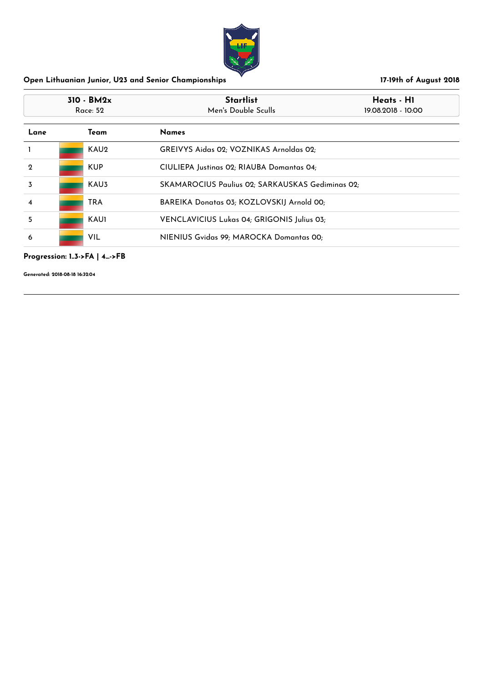

| $310 - BM2x$<br>Race: 52 |  |             | <b>Startlist</b><br>Men's Double Sculls          | Heats - H1<br>19.08.2018 - 10:00 |
|--------------------------|--|-------------|--------------------------------------------------|----------------------------------|
| Lane                     |  | Team        | <b>Names</b>                                     |                                  |
|                          |  | KAU2        | GREIVYS Aidas 02; VOZNIKAS Arnoldas 02;          |                                  |
| $\mathbf 2$              |  | <b>KUP</b>  | CIULIEPA Justinas 02; RIAUBA Domantas 04;        |                                  |
| 3                        |  | KAU3        | SKAMAROCIUS Paulius 02; SARKAUSKAS Gediminas 02; |                                  |
| 4                        |  | <b>TRA</b>  | BAREIKA Donatas 03; KOZLOVSKIJ Arnold 00;        |                                  |
| 5                        |  | <b>KAU1</b> | VENCLAVICIUS Lukas 04; GRIGONIS Julius 03;       |                                  |
| 6                        |  | VIL         | NIENIUS Gvidas 99; MAROCKA Domantas 00;          |                                  |

#### **Progression: 1..3->FA | 4...->FB**